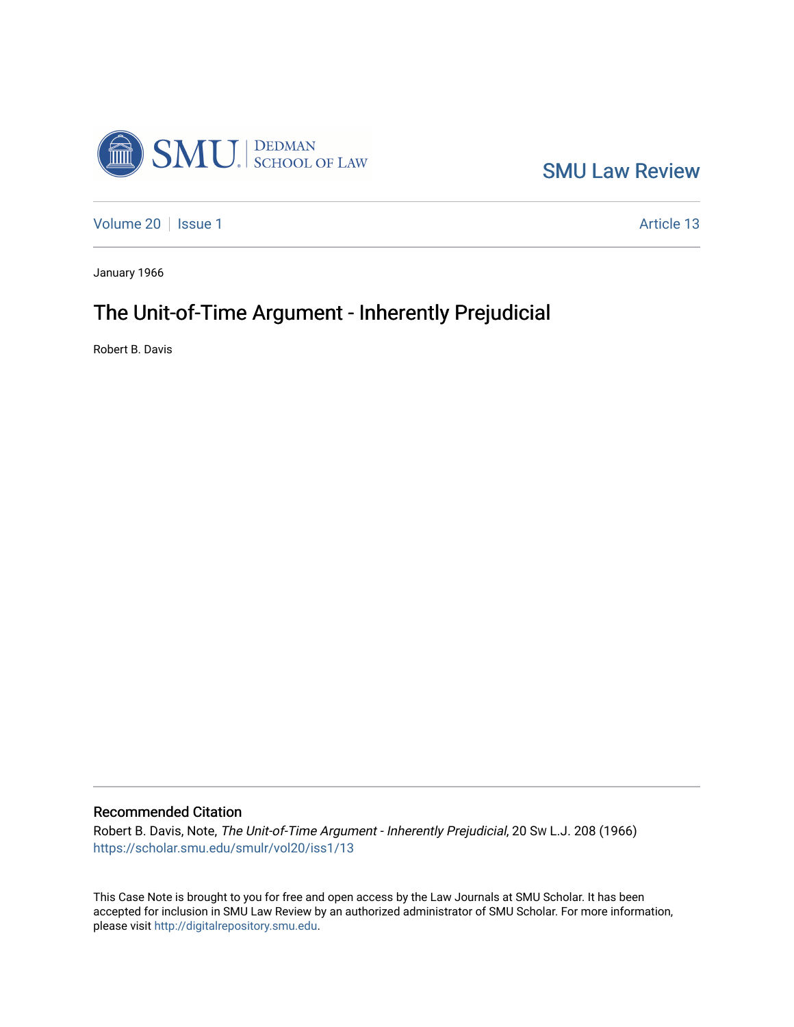

[SMU Law Review](https://scholar.smu.edu/smulr) 

[Volume 20](https://scholar.smu.edu/smulr/vol20) | [Issue 1](https://scholar.smu.edu/smulr/vol20/iss1) Article 13

January 1966

# The Unit-of-Time Argument - Inherently Prejudicial

Robert B. Davis

Recommended Citation

Robert B. Davis, Note, The Unit-of-Time Argument - Inherently Prejudicial, 20 SW L.J. 208 (1966) [https://scholar.smu.edu/smulr/vol20/iss1/13](https://scholar.smu.edu/smulr/vol20/iss1/13?utm_source=scholar.smu.edu%2Fsmulr%2Fvol20%2Fiss1%2F13&utm_medium=PDF&utm_campaign=PDFCoverPages)

This Case Note is brought to you for free and open access by the Law Journals at SMU Scholar. It has been accepted for inclusion in SMU Law Review by an authorized administrator of SMU Scholar. For more information, please visit [http://digitalrepository.smu.edu.](http://digitalrepository.smu.edu/)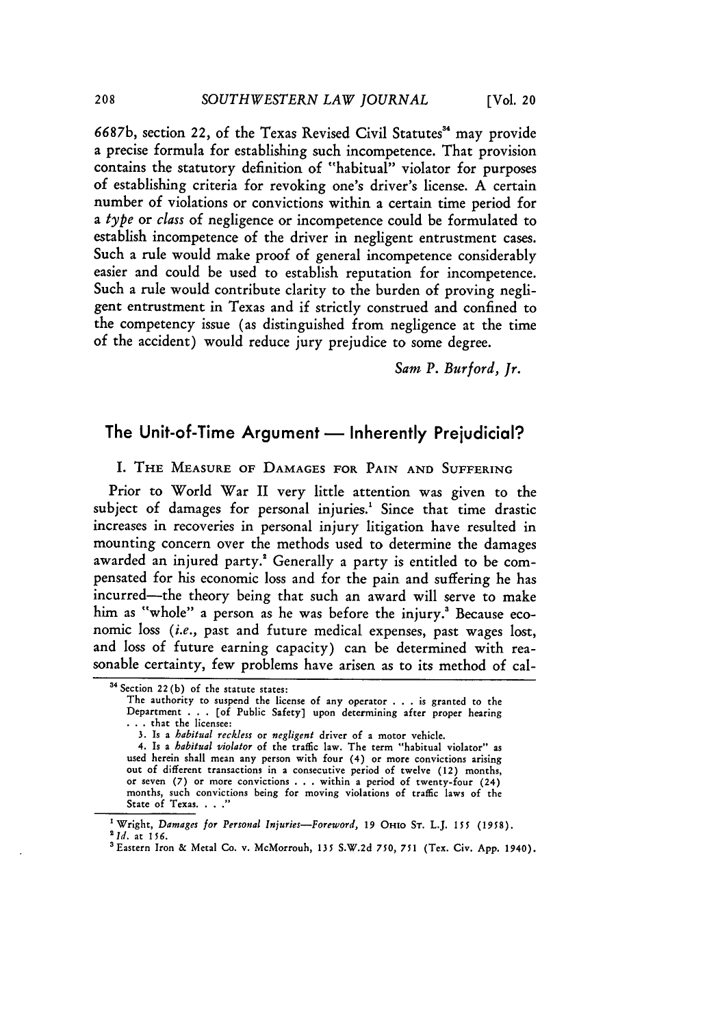6687b, section 22, of the Texas Revised Civil Statutes"' may provide a precise formula for establishing such incompetence. That provision contains the statutory definition of "habitual" violator for purposes of establishing criteria for revoking one's driver's license. A certain number of violations or convictions within a certain time period for *a type* or *class* of negligence or incompetence could be formulated to establish incompetence of the driver in negligent entrustment cases. Such a rule would make proof of general incompetence considerably easier and could be used to establish reputation for incompetence. Such a rule would contribute clarity to the burden of proving negligent entrustment in Texas and if strictly construed and confined to the competency issue (as distinguished from negligence at the time of the accident) would reduce jury prejudice to some degree.

*Sam P. Burford, Jr.*

# The Unit-of-Time Argument - Inherently Prejudicial?

I. THE MEASURE **OF** DAMAGES FOR PAIN **AND** SUFFERING

Prior to World War II very little attention was given to the subject of damages for personal injuries.' Since that time drastic increases in recoveries in personal injury litigation have resulted in mounting concern over the methods used to determine the damages awarded an injured party.<sup>2</sup> Generally a party is entitled to be compensated for his economic loss and for the pain and suffering he has incurred-the theory being that such an award will serve to make him as "whole" a person as he was before the injury.<sup>8</sup> Because economic loss *(i.e.,* past and future medical expenses, past wages lost, and loss of future earning capacity) can be determined with reasonable certainty, few problems have arisen as to its method of cal-

<sup>&</sup>lt;sup>34</sup> Section 22(b) of the statute states:

The authority to suspend the license of any operator **.** . . is granted to the Department **. . .** [of Public Safety] upon determining after proper hearing • **..** that the licensee:

<sup>3.</sup> Is a *habitual reckless* or *negligent* driver of a motor vehicle.

<sup>4.</sup> Is a *habitual violator* of the traffic law. The term "habitual violator" as used herein shall mean any person with four (4) or more convictions arising out of different transactions in a consecutive period of twelve (12) months, or seven **(7)** or more convictions . **. .**within a period of twenty-four (24) months, such convictions being for moving violations of traffic laws of the State of Texas. . . .<sup>"</sup>

Wright, *Damages for Personal Injuries-Foreword,* **19** OHIO **ST.** L.J. *155* **(1958).** *2Id.* at 156.

<sup>&#</sup>x27;Eastern Iron & Metal Co. v. McMorrouh, **135** S.W.2d 750, *751* (Tex. Civ. **App.** 1940).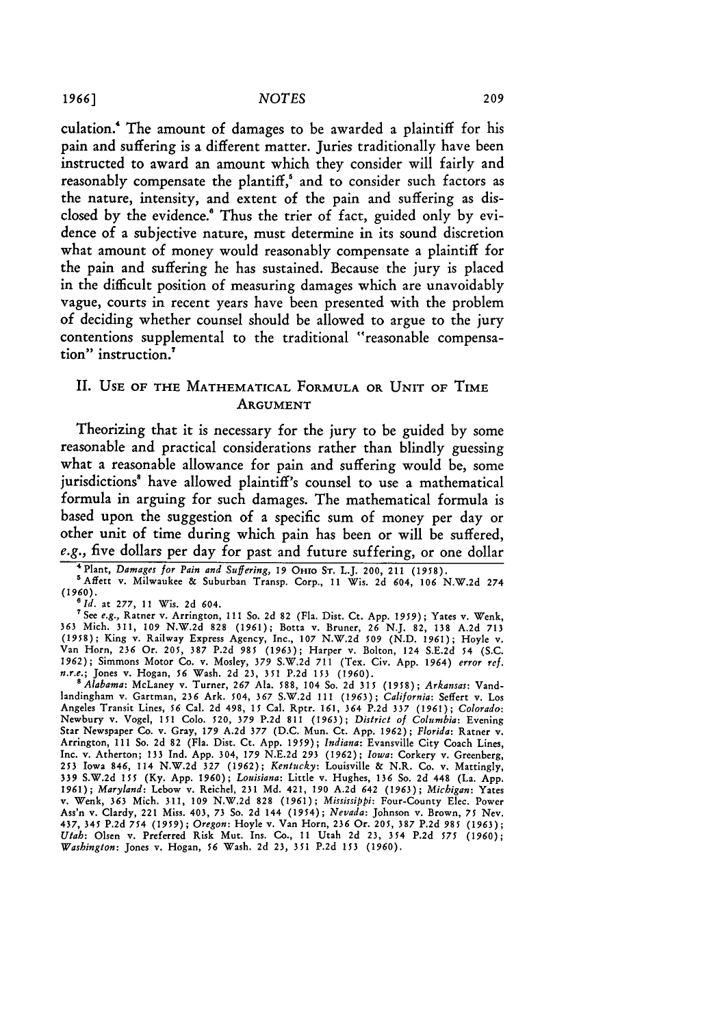culation.' The amount of damages to be awarded a plaintiff for his pain and suffering is a different matter. Juries traditionally have been instructed to award an amount which they consider will fairly and reasonably compensate the plantiff,<sup>5</sup> and to consider such factors as the nature, intensity, and extent of the pain and suffering as disclosed **by** the evidence Thus the trier of fact, guided only **by** evidence of a subjective nature, must determine in its sound discretion what amount of money would reasonably compensate a plaintiff for the pain and suffering he has sustained. Because the jury is placed in the difficult position of measuring damages which are unavoidably vague, courts in recent years have been presented with the problem of deciding whether counsel should be allowed to argue to the jury contentions supplemental to the traditional "reasonable compensation" instruction.

### **II.** USE OF THE MATHEMATICAL FORMULA OR UNIT OF TIME **ARGUMENT**

Theorizing that it is necessary for the jury to be guided **by** some reasonable and practical considerations rather than blindly guessing what a reasonable allowance for pain and suffering would be, some jurisdictions' have allowed plaintiff's counsel to use a mathematical formula in arguing for such damages. The mathematical formula is based upon the suggestion of a specific sum of money per day or other unit of time during which pain has been or will be suffered, e.g., five dollars per day for past and future suffering, or one dollar

<sup>7</sup> See *e.g.*, Ratner v. Arrington, 111 So. 2d 82 (Fla. Dist. Ct. App. 1959); Yates v. Wenk, 363 Mich. 311, 109 N.W.2d 828 (1961); Botta v. Bruner, 26 N.J. 82, 138 A.2d 713<br>(1958); King v. Railway Express Agency, Inc., 107 N.W.2d 509 (N.D. 1961); Hoyle v.<br>Van Horn, 236 Or. 205, 387 P.2d 985 (1963); Harper v. Bolto 1962); Simmons Motor Co. v. Mosley, 379 S.W.2d 711 (Tex. Civ. App. 1964) *error ref. n.r.e.;* Jones v. Hogan, **56** Wash. 2d **23, 351** P.2d **153 (1960).**

*'Alabama:* McLaney v. Turner, 267 Ala. 588, 104 So. 2d **315** (1958); *Arkansas:* Vandlandingham v. Gartman, **236** Ark. 504, **367** S.W.2d 111 **(1963);** *California:* Seffert v. Los Angeles Transit Lines, 56 Cal. **2d** 498, **15** Cal. Rptr. 161, *364* P.2d **337 (1961);** *Colorado:* Newbury v. Vogel, **151 Colo. 520, 379** P.2d 811 **(1963);** *District of Columbia:* Evening Star Newspaper Co. v. Gray, 179 A.2d 377 (D.C. Mun. Ct. App. 1962); Florida: Ratner v.<br>Arrington, 111 So. 2d 82 (Fla. Dist. Ct. App. 1959); Indiana: Evansville City Coach Lines. Inc. v. Atherton; 133 Ind. App. 304, *179* N.E.2d **293 (1962);** *Iowa:* Corkery v. Greenberg, **253** Iowa 846, 114 **N.W.2d** 327 **(1962);** *Kentucky:* Louisville & N.R. Co. v. Mattingly, **339** S.W.2d **155** (Ky. App. **1960);** *Louisiana:* Little v. Hughes, 136 So. 2d 448 (La. App. 1961); *Maryland:* Lebow v. Reichel, 231 **Md.** 421, **190** A.2d 642 (1963); *Michigan:* Yates v. Wenk, 363 Mich. 311, **109** N.W.2d 828 (1961); *Mississippi:* Four-County Elec. Power Ass'n v. Clardy, 221 Miss. 403, 73 So. 2d 144 (1954); *Nevada:* Johnson v. Brown, **75** Nev. 437, 345 **P.2d** *754 (1959); Oregon:* Hoyle v. Van Horn, **236** Or. **205, 387 P.2d 985 (1963);** *Utah:* Olsen v. Preferred Risk Mut. Ins. Co., **11** Utah 2d **23,** 354 **P.2d 575** (1960); *Washington:* Jones v. Hogan, 56 Wash. 2d **23,** 351 P.2d **153** (1960).

<sup>4</sup> Plant, *Damages for Pain and Suffering, 19* OHIO **ST.** L.J. 200, 211 **(1958).**

<sup>&#</sup>x27;Affett v. Milwaukee & Suburban Transp. Corp., 11 Wis. 2d 604, **106** N.W.2d 274  $(1960)$ .<br><sup>6</sup> Id. at 277, 11 Wis. 2d 604.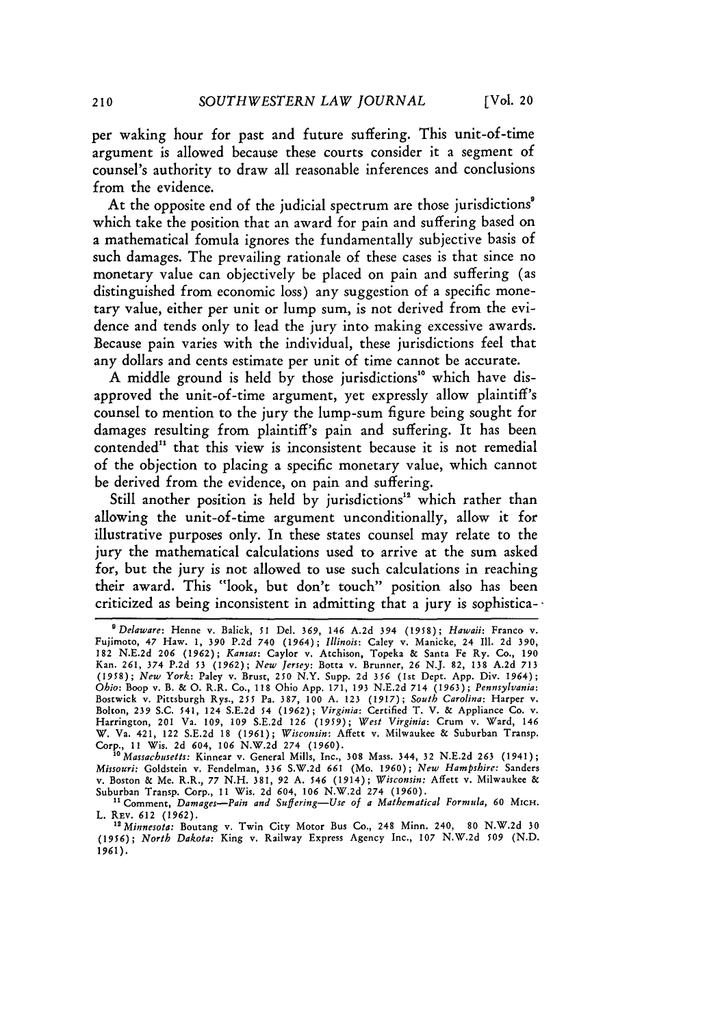per waking hour for past and future suffering. This unit-of-time argument is allowed because these courts consider it a segment of counsel's authority to draw all reasonable inferences and conclusions from the evidence.

At the opposite end of the judicial spectrum are those jurisdictions" which take the position that an award for pain and suffering based on a mathematical fomula ignores the fundamentally subjective basis of such damages. The prevailing rationale of these cases is that since no monetary value can objectively be placed on pain and suffering (as distinguished from economic loss) any suggestion of a specific monetary value, either per unit or lump sum, is not derived from the evidence and tends only to lead the jury into making excessive awards. Because pain varies with the individual, these jurisdictions feel that any dollars and cents estimate per unit of time cannot be accurate.

A middle ground is held by those jurisdictions<sup>10</sup> which have disapproved the unit-of-time argument, yet expressly allow plaintiff's counsel to mention to the jury the lump-sum figure being sought for damages resulting from plaintiff's pain and suffering. It has been contended" that this view is inconsistent because it is not remedial of the objection to placing a specific monetary value, which cannot be derived from the evidence, on pain and suffering.

Still another position is held by jurisdictions<sup>12</sup> which rather than allowing the unit-of-time argument unconditionally, allow it for illustrative purposes only. In these states counsel may relate to the jury the mathematical calculations used to arrive at the sum asked for, but the jury is not allowed to use such calculations in reaching their award. This "look, but don't touch" position also has been criticized as being inconsistent in admitting that a jury is sophistica--

*50Massachusetts:* Kinnear v. General Mills, Inc., 308 Mass. 344, 32 N.E.2d **263** (1941); *Missouri:* Goldstein v. Fendelman, **336** S.W.2d **661** (Mo. 1960); *New Hampshire:* Sanders v. Boston & Me. R.R., 77 N.H. 381, 92 A. 546 (1914); *Wisconsin:* Affett v. Milwaukee & Suburban Transp. Corp., **11** Wis. 2d 604, *106* N.W.2d 274 (1960).

"Comment, *Damages-Pain and Suffering-Use of a Mathematical Formula,* **60** MICH. L. REv. **612** (1962).

<sup>12</sup> *Minnesota:* Boutang v. Twin City Motor Bus Co., 248 Minn. 240, 80 N.W.2d 30 (1956); *North Dakota:* King v. Railway Express Agency Inc., 107 N.W.2d **509** (N.D. 1961).

*<sup>&#</sup>x27;Delaware:* Henne v. Balick, **51** Del. 369, *146* A.2d 394 (1958); *Hawaii:* Franco v. Fujimoto, 47 Haw. 1, 390 P.2d 740 (1964); *Illinois:* Caley v. Manicke, 24 Ill. 2d 390, 182 N.E.2d 206 (1962); *Kansas:* Caylor v. Atchison, Topeka **&** Santa Fe Ry. Co., 190 Kan. 261, 374 P.2d **53** (1962); *New Jersey:* Botta v. Brunner, **26** N.J. 82, 138 A.2d **713** *(1958); New York:* Paley v. Brust, 250 N.Y. Supp. 2d *356* (Ist Dept. App. Div. 1964); *Ohio:* Boop v. B. & **0.** R.R. Co., 118 Ohio App. 171, **193** N.E.2d 714 (1963); *Pennsylvania:* Bostwick v. Pittsburgh Rys., **255** Pa. **387, 100 A. 123 (1917);** *South Carolina:* Harper v. Bolton, **239** S.C. 541, 124 S.E.2d **54** (1962); *Virginia:* Certified T. V. & Appliance Co. v. Harrington, 201 Va. 109, 109 S.E.2d 126 (1959); *West Virginia:* Crum v. Ward, 146 W. Va. 421, 122 S.E.2d 18 (1961); *Wisconsin:* Affett v. Milwaukee **&** Suburban Transp. Corp., 11 Wis. 2d 604, *106* N.W.2d 274 **(1960).**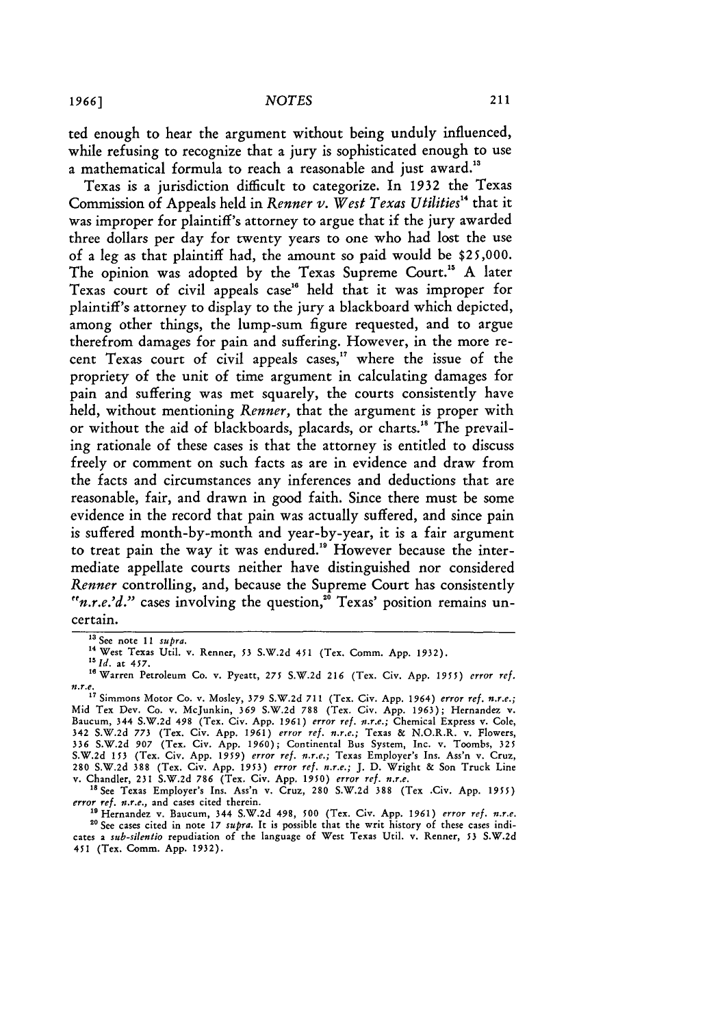ted enough to hear the argument without being unduly influenced, while refusing to recognize that a jury is sophisticated enough to use a mathematical formula to reach a reasonable and just award.<sup>13</sup>

Texas is a jurisdiction difficult to categorize. In 1932 the Texas Commission of Appeals held in *Renner v. West Texas Utilities*<sup>14</sup> that it was improper for plaintiff's attorney to argue that if the jury awarded three dollars per day for twenty years to one who had lost the use of a leg as that plaintiff had, the amount so paid would be \$25,000. The opinion was adopted by the Texas Supreme Court." A later Texas court of civil appeals case" held that it was improper for plaintiff's attorney to display to the jury a blackboard which depicted, among other things, the lump-sum figure requested, and to argue therefrom damages for pain and suffering. However, in the more recent Texas court of civil appeals cases," where the issue of the propriety of the unit of time argument in calculating damages for pain and suffering was met squarely, the courts consistently have held, without mentioning *Renner,* that the argument is proper with or without the aid of blackboards, placards, or charts." The prevailing rationale of these cases is that the attorney is entitled to discuss freely or comment on such facts as are in evidence and draw from the facts and circumstances any inferences and deductions that are reasonable, fair, and drawn in good faith. Since there must be some evidence in the record that pain was actually suffered, and since pain is suffered month-by-month and year-by-year, it is a fair argument to treat pain the way it was endured." However because the intermediate appellate courts neither have distinguished nor considered *Renner* controlling, and, because the Supreme Court has consistently  $"n.r.e.'d.'$  cases involving the question,<sup>20</sup> Texas' position remains uncertain.

"See Texas Employer's Ins. Ass'n v. Cruz, 280 S.W.2d **388** (Tex .Civ. App. *1955) error ref. n.r.e.,* and cases cited therein.

19 Hernandez v. Baucum, 344 S.W.2d 498, 500 (Tex. Civ. App. 1961) error ref. n.r.e. <sup>20</sup> See cases cited in note 17 *supra*. It is possible that the writ history of these cases indicates a *sub-silentio* repudiation of the language of West Texas Util. v. Renner, 53 **S.W.2d** 451 (Tex. Comm. App. 1932).

**<sup>13</sup>** See note 11 *supra.*

**<sup>14</sup>** West Texas Util. v. Renner, *53* S.W.2d 451 (Tex. Comm. App. 1932).

*<sup>&</sup>quot;Id.* at *457.*

<sup>16</sup>Warren Petroleum Co. v. Pyeatt, **275** S.W.2d 216 (Tex. Civ. App. *1955) error* ref. *n.r.e.*

**<sup>&#</sup>x27;"** Simmons Motor Co. v. Mosley, **379** S.W.2d 711 (Tex. Civ. App. 1964) *error ref. n.r.e.;* Mid Tex Dev. Co. v. McJunkin, **369** S.W.2d **788** (Tex. Civ. App. 1963); Hernandez v. Baucum, 344 S.W.2d 498 (Tex. Civ. **App.** *1961) error ref. n.r.e.;* Chemical Express v. Cole, 342 S.W.2d **773** (Tex. Civ. App. *1961) error ref. n.r.e.;* Texas **&** N.O.R.R. v. Flowers, **336** S.W.2d *907* (Tex. Civ. App. 1960); Continental Bus System, Inc. v. Toombs, **325** S.W.2d **153** (Tex. Civ. App. *1959) error ref. n.r.e.;* Texas Employer's Ins. Ass'n v. Cruz, 280 S.W.2d **388** (Tex. Civ. App. **1953)** *error ref. n.r.e.;* **J. D.** Wright & Son Truck Line v. Chandler, **231** S.W.2d 786 (Tex. Civ. App. *1950) error ref. n.r.e.*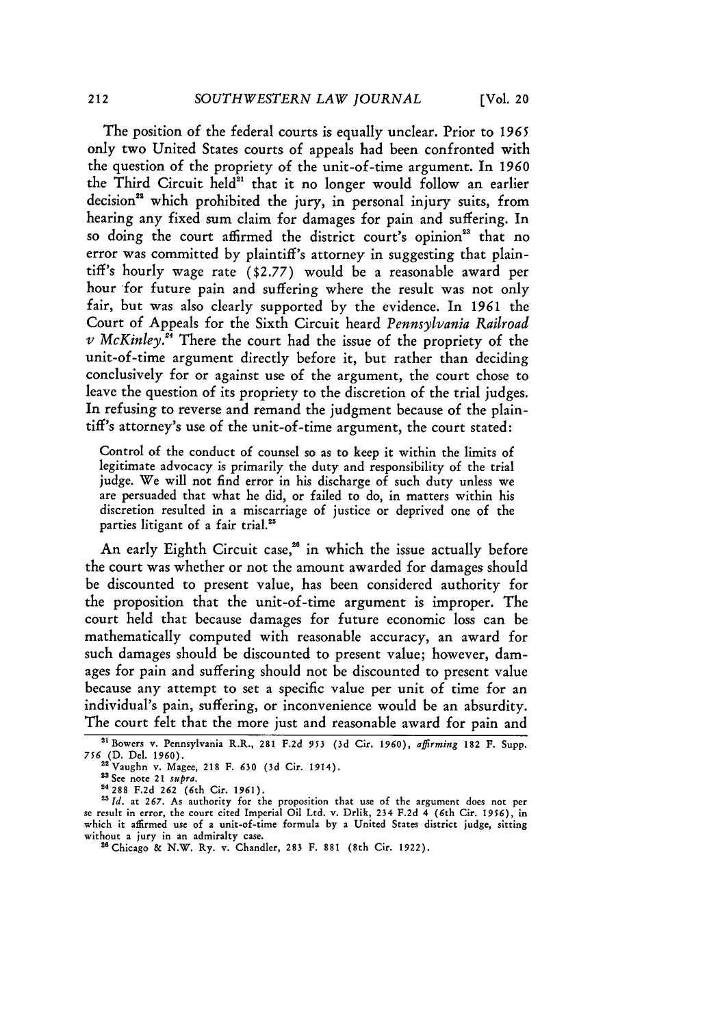The position of the federal courts is equally unclear. Prior to *1965* only two United States courts of appeals had been confronted with the question of the propriety of the unit-of-time argument. In *1960* the Third Circuit held"' that it no longer would follow an earlier decision<sup>22</sup> which prohibited the jury, in personal injury suits, from hearing any fixed sum claim for damages for pain and suffering. In so doing the court affirmed the district court's opinion<sup>23</sup> that no error was committed by plaintiff's attorney in suggesting that plaintiff's hourly wage rate (\$2.77) would be a reasonable award per hour for future pain and suffering where the result was not only fair, but was also clearly supported by the evidence. In *1961* the Court of Appeals for the Sixth Circuit heard *Pennsylvania Railroad*  $\nu$  *McKinley.*<sup>24</sup> There the court had the issue of the propriety of the unit-of-time argument directly before it, but rather than deciding conclusively for or against use of the argument, the court chose to leave the question of its propriety to the discretion of the trial judges. In refusing to reverse and remand the judgment because of the plaintiff's attorney's use of the unit-of-time argument, the court stated:

Control of the conduct of counsel so as to keep it within the limits of legitimate advocacy is primarily the duty and responsibility of the trial judge. We will not find error in his discharge of such duty unless we are persuaded that what he did, or failed to do, in matters within his discretion resulted in a miscarriage of justice or deprived one of the parties litigant of a fair trial.<sup>25</sup>

An early Eighth Circuit case,<sup>26</sup> in which the issue actually before the court was whether or not the amount awarded for damages should be discounted to present value, has been considered authority for the proposition that the unit-of-time argument is improper. The court held that because damages for future economic loss can be mathematically computed with reasonable accuracy, an award for such damages should be discounted to present value; however, damages for pain and suffering should not be discounted to present value because any attempt to set a specific value per unit of time for an individual's pain, suffering, or inconvenience would be an absurdity. The court felt that the more just and reasonable award for pain and

<sup>&</sup>quot;Bowers v. Pennsylvania R.R., 281 **F.2d 953 (3d** Cir. **1960),** *aflrming* **182 F.** Supp. *756* (D. Del. 1960).

<sup>2</sup>Vaughn v. Magee, 218 F. **630** (3d Cir. 1914).

<sup>&</sup>lt;sup>23</sup> See note 21 *supra*.

**<sup>24288</sup> F.2d 262** (6th **Cir. 1961).**

<sup>&</sup>lt;sup>25</sup> Id. at 267. As authority for the proposition that use of the argument does not per se result in error, the court cited Imperial Oil Ltd. v. Drlik, 234 F.2d 4 (6th Cir. 1956), in which it affirmed use of a unit-of-time formula by a United States district judge, sitting

<sup>&</sup>lt;sup>26</sup> Chicago & N.W. Ry. v. Chandler, 283 F. 881 (8th Cir. 1922).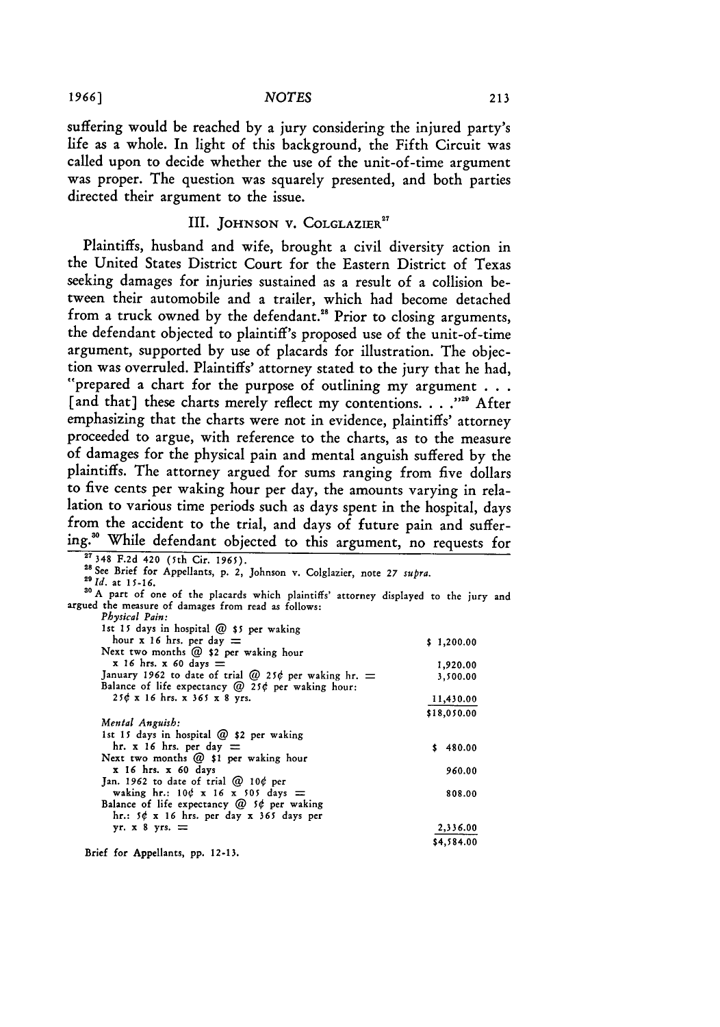#### **1966]** *NOTES*

suffering would be reached by a jury considering the injured party's life as a whole. In light of this background, the Fifth Circuit was called upon to decide whether the use of the unit-of-time argument was proper. The question was squarely presented, and both parties directed their argument to the issue.

## III. **JOHNSON** V. **COLGLAZIER<sup>7</sup>**

Plaintiffs, husband and wife, brought a civil diversity action in the United States District Court for the Eastern District of Texas seeking damages for injuries sustained as a result of a collision between their automobile and a trailer, which had become detached from a truck owned by the defendant.<sup>28</sup> Prior to closing arguments, the defendant objected to plaintiff's proposed use of the unit-of-time argument, supported by use of placards for illustration. The objec-<br>tion was overruled. Plaintiffs' attorney stated to the jury that he had,<br>"prepared a chart for the purpose of outlining my argument ... [and that] these charts merely reflect my contentions. . . . "<sup>22</sup> After emphasizing that the charts were not in evidence, plaintiffs' attorney proceeded to argue, with reference to the charts, as to the measure of damages for the physical pain and mental anguish suffered by the plaintiffs. The attorney argued for sums ranging from five dollars to five cents per waking hour per day, the amounts varying in relalation to various time periods such as days spent in the hospital, days from the accident to the trial, and days of future pain and suffering.' While defendant objected to this argument, no requests for **27348 F.2d** 420 (5th Cir. 1965).

| 246 F.20 420 (IED CIF. 196)).                                                         |             |
|---------------------------------------------------------------------------------------|-------------|
| <sup>28</sup> See Brief for Appellants, p. 2, Johnson v. Colglazier, note 27 supra.   |             |
| $^{29}$ <i>Id.</i> at 15-16.                                                          |             |
| 30 A part of one of the placards which plaintiffs' attorney displayed to the jury and |             |
| argued the measure of damages from read as follows:                                   |             |
| Physical Pain:                                                                        |             |
| 1st 15 days in hospital @ \$5 per waking                                              |             |
| hour x 16 hrs. per day $=$                                                            |             |
| Next two months $@$ \$2 per waking hour                                               | \$1,200.00  |
|                                                                                       |             |
| $x$ 16 hrs. $x$ 60 days $=$                                                           | 1,920.00    |
| January 1962 to date of trial @ 25¢ per waking hr. $=$                                | 3,500.00    |
| Balance of life expectancy $@$ 25¢ per waking hour:                                   |             |
| $25¢$ x 16 hrs. x 365 x 8 yrs.                                                        | 11,430.00   |
|                                                                                       | \$18,050.00 |
| Mental Anguish:                                                                       |             |
| 1st 15 days in hospital $@$ \$2 per waking                                            |             |
| hr. x 16 hrs. per day $=$                                                             | \$480.00    |
|                                                                                       |             |
| Next two months @ \$1 per waking hour                                                 |             |
| x 16 hrs. x 60 days                                                                   | 960.00      |
| Jan. 1962 to date of trial $@$ 10¢ per                                                |             |
| waking hr.: $10¢ \times 16 \times 505$ days =                                         | 808.00      |
| Balance of life expectancy $@$ 5¢ per waking                                          |             |
| hr.: $5¢ \times 16$ hrs. per day $x$ 365 days per                                     |             |
| yr. $x - 8$ yrs. $=$                                                                  | 2,336.00    |
|                                                                                       | \$4,584.00  |
|                                                                                       |             |

Brief for Appellants, pp. 12-13.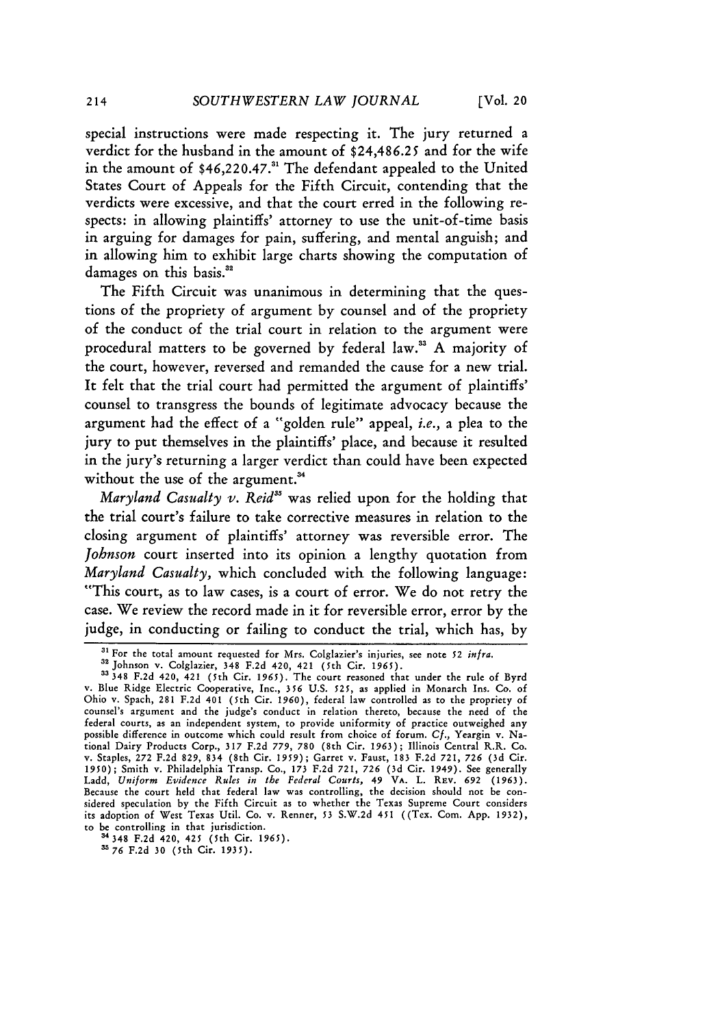special instructions were made respecting it. The jury returned a verdict for the husband in the amount of **\$24,486.25** and for the wife in the amount of \$46,220.47.<sup>31</sup> The defendant appealed to the United States Court of Appeals for the Fifth Circuit, contending that the verdicts were excessive, and that the court erred in the following respects: in allowing plaintiffs' attorney to use the unit-of-time basis in arguing for damages for pain, suffering, and mental anguish; and in allowing him to exhibit large charts showing the computation of damages on this basis.<sup>32</sup>

The Fifth Circuit was unanimous in determining that the questions of the propriety of argument **by** counsel and of the propriety of the conduct of the trial court in relation to the argument were procedural matters to be governed **by** federal law. **A** majority of the court, however, reversed and remanded the cause for a new trial. It felt that the trial court had permitted the argument of plaintiffs' counsel to transgress the bounds of legitimate advocacy because the argument had the effect of a "golden rule" appeal, *i.e.,* a plea to the jury to put themselves in the plaintiffs' place, and because it resulted in the jury's returning a larger verdict than could have been expected without the use of the argument.<sup>34</sup>

*Maryland Casualty v. Reid"* was relied upon for the holding that the trial court's failure to take corrective measures in relation to the closing argument of plaintiffs' attorney was reversible error. The *Johnson* court inserted into its opinion a lengthy quotation from *Maryland Casualty,* which concluded with the following language: "This court, as to law cases, is a court of error. We do not retry the case. We review the record made in it for reversible error, error **by** the judge, in conducting or failing to conduct the trial, which has, **by**

**34 <sup>34</sup> 8 F.2d** 420, 425 (5th Cit. **1965).**

**<sup>&</sup>quot;1** For the total amount requested for Mrs. Colglazier's injuries, see note **52** infra.

**a2** Johnson v. Colglazier, 348 **F.2d** 420, 421 (5th Cir. **1965).**

**<sup>33348</sup> F.2d 420,** 421 (5th Cir. **1965).** The court reasoned that under the rule of Byrd v. Blue Ridge Electric Cooperative, Inc., **356 U.S. 525,** as applied in Monarch Ins. **Co.** of Ohio **v.** Spach, **281 F.2d** 401 (5th Cir. **1960),** federal law controlled as to the propriety of counsel's argument and the judge's conduct in relation thereto, because the need of the federal courts, as an independent system, to provide uniformity of practice outweighed any possible difference in outcome which could result from choice of forum. **Cf.,** Yeargin v. National Dairy Products Corp., **317 F.2d 779, 780** (8th Cir. **1963);** Illinois Central R.R. Co. v. Staples, 272 F.2d 829, 834 (8th Cir. 1959); Garret v. Faust, 183 F.2d 721, 726 (3d Cir.<br>1950); Smith v. Philadelphia Transp. Co., 173 F.2d 721, 726 (3d Cir. 1949). See generally Ladd, *Uniform Evidence Rules in the Federal Courts,* **49 VA.** L. REv. **692 (1963).** Because the court held that federal law was controlling, the decision should not be considered speculation **by** the Fifth Circuit as to whether the Texas Supreme Court considers its adoption of West Texas Util. Co. v. Renner, **53 S.W.2d** 451 ((Tex. Com. **App. 1932),** to be controlling in that jurisdiction.

**<sup>376</sup> F.2d 30** (5th Cit. **1935).**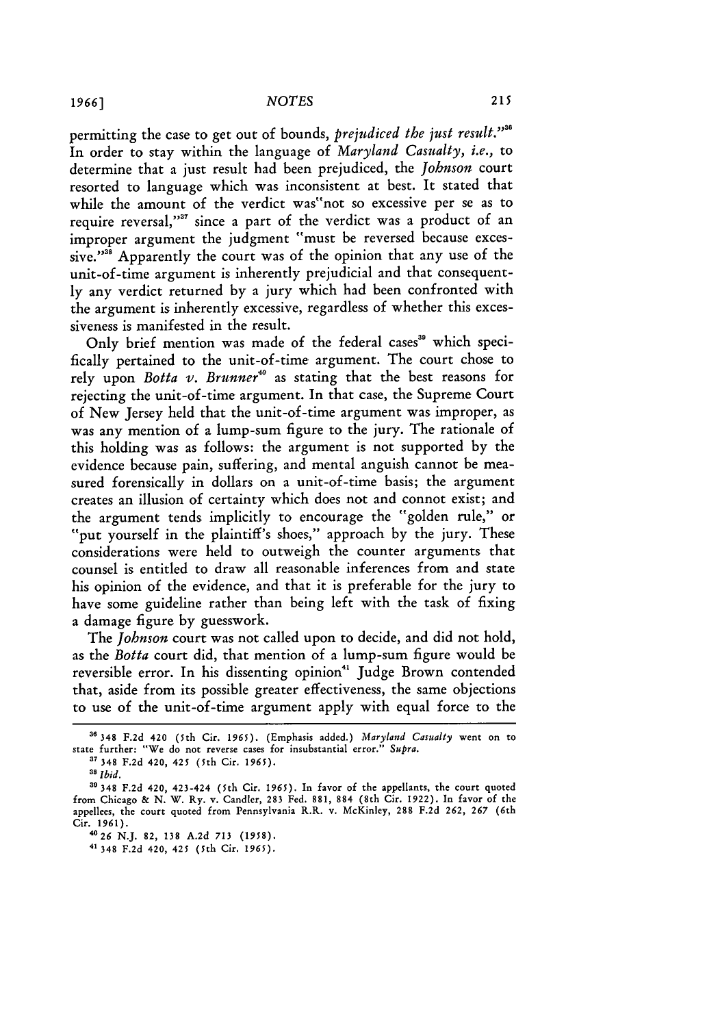permitting the case to get out of bounds, *prejudiced the just result.*<sup>238</sup> In order to stay within the language of *Maryland Casualty, i.e.,* to determine that a just result had been prejudiced, the *Johnson* court resorted to language which was inconsistent at best. It stated that while the amount of the verdict was"not so excessive per se as to require reversal,"<sup>37</sup> since a part of the verdict was a product of an improper argument the judgment "must be reversed because excessive."<sup>38</sup> Apparently the court was of the opinion that any use of the unit-of-time argument is inherently prejudicial and that consequently any verdict returned by a jury which had been confronted with the argument is inherently excessive, regardless of whether this excessiveness is manifested in the result.

Only brief mention was made of the federal cases<sup>39</sup> which specifically pertained to the unit-of-time argument. The court chose to rely upon *Botta v. Brunner*<sup>40</sup> as stating that the best reasons for rejecting the unit-of-time argument. In that case, the Supreme Court of New Jersey held that the unit-of-time argument was improper, as was any mention of a lump-sum figure to the jury. The rationale of this holding was as follows: the argument is not supported by the evidence because pain, suffering, and mental anguish cannot be measured forensically in dollars on a unit-of-time basis; the argument creates an illusion of certainty which does not and connot exist; and the argument tends implicitly to encourage the "golden rule," or "put yourself in the plaintiff's shoes," approach by the jury. These considerations were held to outweigh the counter arguments that counsel is entitled to draw all reasonable inferences from and state his opinion of the evidence, and that it is preferable for the jury to have some guideline rather than being left with the task of fixing a damage figure by guesswork.

The *Johnson* court was not called upon to decide, and did not hold, as the *Botta* court did, that mention of a lump-sum figure would be reversible error. In his dissenting opinion" Judge Brown contended that, aside from its possible greater effectiveness, the same objections to use of the unit-of-time argument apply with equal force to the

<sup>36348</sup> F.2d 420 (5th Cir. 1965). (Emphasis added.) *Maryland Casualty* went on to state further: "We do not reverse cases for insubstantial error." *Supra.*

**<sup>37</sup>**348 F.2d 420, 425 (5th Cir. 1965).

*<sup>3&#</sup>x27; Ibid.*

**<sup>39</sup>** 348 F.2d 420, 423-424 (5th Cir. 1965). In favor of the appellants, the court quoted from Chicago & N. W. Ry. v. Candler, 283 Fed. 881, 884 (8th Cir. 1922). In favor of the appellees, the court quoted from Pennsylvania R.R. v. McKinley, 288 F.2d 262, 267 (6th Cir. 1961).

*<sup>4026</sup>* N.J. 82, 138 A.2d 713 (1958).

<sup>4&#</sup>x27; 348 F.2d 420, 425 (5th Cir. 1965).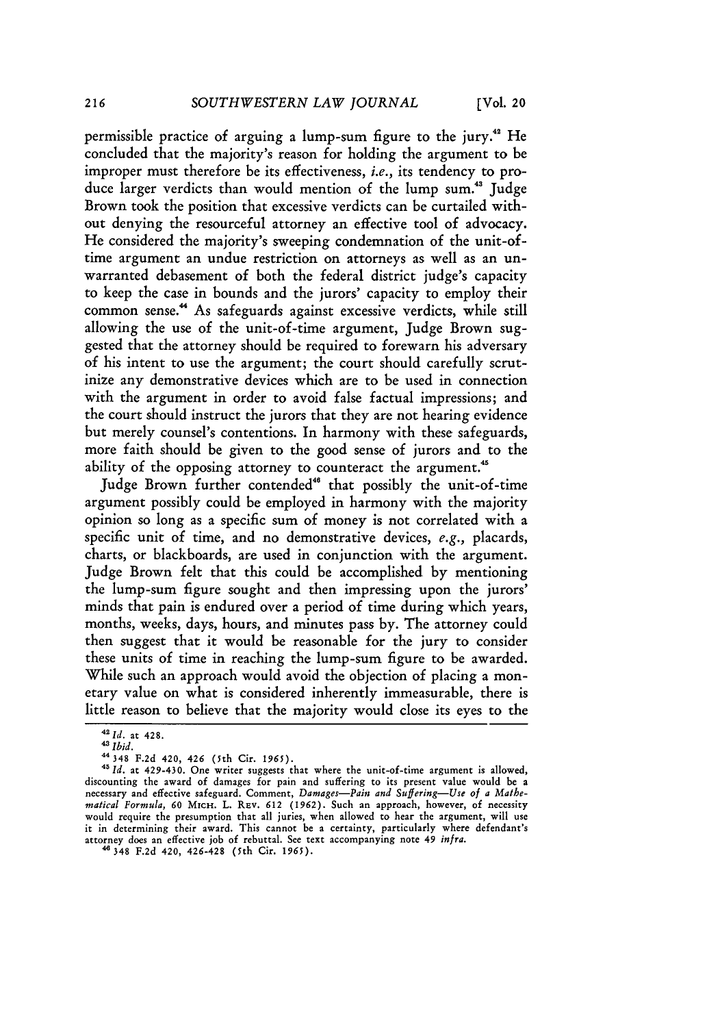permissible practice of arguing a lump-sum figure to the jury.<sup>42</sup> He concluded that the majority's reason for holding the argument to be improper must therefore be its effectiveness, *i.e.,* its tendency to produce larger verdicts than would mention of the lump sum.<sup>43</sup> Judge Brown took the position that excessive verdicts can be curtailed without denying the resourceful attorney an effective tool of advocacy. He considered the majority's sweeping condemnation of the unit-oftime argument an undue restriction on attorneys as well as an unwarranted debasement of both the federal district judge's capacity to keep the case in bounds and the jurors' capacity to employ their common sense." As safeguards against excessive verdicts, while still allowing the use of the unit-of-time argument, Judge Brown suggested that the attorney should be required to forewarn his adversary of his intent to use the argument; the court should carefully scrutinize any demonstrative devices which are to be used in connection with the argument in order to avoid false factual impressions; and the court should instruct the jurors that they are not hearing evidence but merely counsel's contentions. In harmony with these safeguards, more faith should be given to the good sense of jurors and to the ability of the opposing attorney to counteract the argument.<sup>45</sup>

Judge Brown further contended" that possibly the unit-of-time argument possibly could be employed in harmony with the majority opinion so long as a specific sum of money is not correlated with a specific unit of time, and no demonstrative devices, *e.g.,* placards, charts, or blackboards, are used in conjunction with the argument. Judge Brown felt that this could be accomplished by mentioning the lump-sum figure sought and then impressing upon the jurors' minds that pain is endured over a period of time during which years, months, weeks, days, hours, and minutes pass by. The attorney could then suggest that it would be reasonable for the jury to consider these units of time in reaching the lump-sum figure to be awarded. While such an approach would avoid the objection of placing a monetary value on what is considered inherently immeasurable, there is little reason to believe that the majority would close its eyes to the

*<sup>&</sup>quot;2Id.* at 428.

*<sup>4</sup>Ibid.*

**<sup>&</sup>quot;** 348 F.2d 420, 426 (5th Cir. 1965).

<sup>&</sup>lt;sup>45</sup> Id. at 429-430. One writer suggests that where the unit-of-time argument is allowed, discounting the award of damages for pain and suffering to its present value would be a necessary and effective safeguard. Comment, *Damages-Pain and Suffering-Use of a Mathematical Formula,* **60** MICH. L. REV. **612** (1962). Such an approach, however, of necessity would require the presumption that all juries, when allowed to hear the argument, will use it in determining their award. This cannot be a certainty, particularly where defendant' attorney does an effective **job** of rebuttal. See text accompanying note 49 infra.

<sup>348</sup> F.2d 420, 426-428 (5th Cir. *1965).*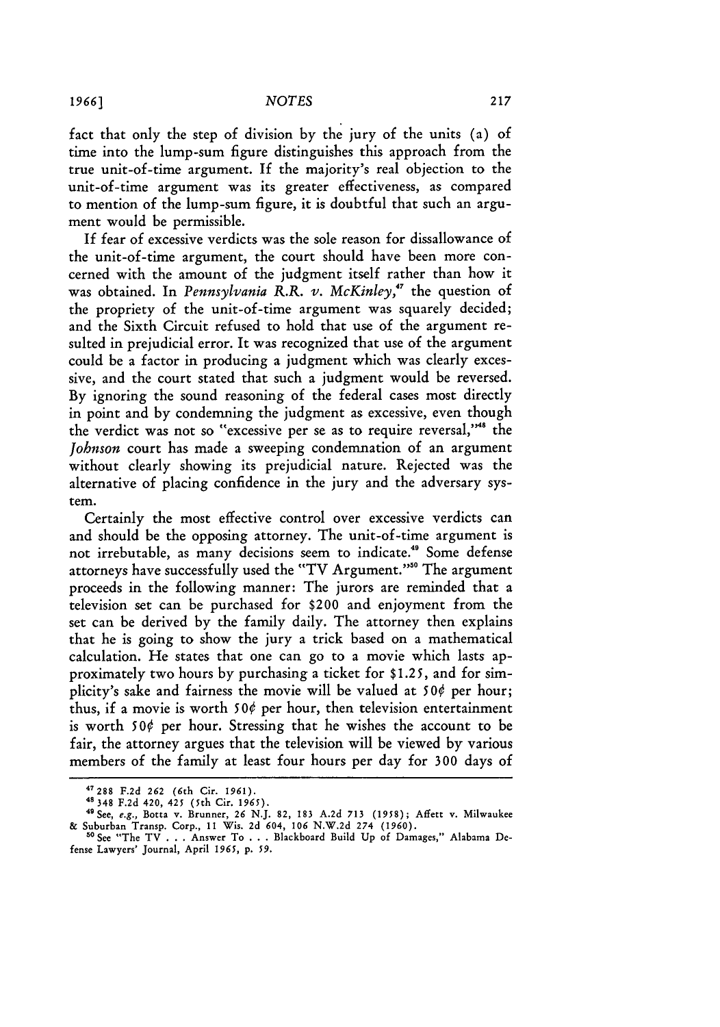fact that only the step of division by the jury of the units (a) of time into the lump-sum figure distinguishes this approach from the true unit-of-time argument. If the majority's real objection to the unit-of-time argument was its greater effectiveness, as compared to mention of the lump-sum figure, it is doubtful that such an argument would be permissible.

If fear of excessive verdicts was the sole reason for dissallowance of the unit-of-time argument, the court should have been more concerned with the amount of the judgment itself rather than how it was obtained. In *Pennsylvania R.R. v. McKinley,"7* the question of the propriety of the unit-of-time argument was squarely decided; and the Sixth Circuit refused to hold that use of the argument resulted in prejudicial error. It was recognized that use of the argument could be a factor in producing a judgment which was clearly excessive, and the court stated that such a judgment would be reversed. By ignoring the sound reasoning of the federal cases most directly in point and by condemning the judgment as excessive, even though the verdict was not so "excessive per se as to require reversal,"<sup>48</sup> the *Johnson* court has made a sweeping condemnation of an argument without clearly showing its prejudicial nature. Rejected was the alternative of placing confidence in the jury and the adversary system.

Certainly the most effective control over excessive verdicts can and should be the opposing attorney. The unit-of-time argument is not irrebutable, as many decisions seem to indicate." Some defense attorneys have successfully used the "TV Argument.""0 The argument proceeds in the following manner: The jurors are reminded that a television set can be purchased for \$200 and enjoyment from the set can be derived by the family daily. The attorney then explains that he is going to show the jury a trick based on a mathematical calculation. He states that one can go to a movie which lasts approximately two hours by purchasing a ticket for \$1.25, and for simplicity's sake and fairness the movie will be valued at *500* per hour; thus, if a movie is worth  $50¢$  per hour, then television entertainment is worth *50¢* per hour. Stressing that he wishes the account to be fair, the attorney argues that the television will be viewed by various members of the family at least four hours per day for 300 days of

**<sup>47288</sup>**F.2d **262** (6th Cir. 1961). 48348 F.2d 420, 425 (5th Cir. *1965).*

<sup>49</sup> See, e.g., Botta v. Brunner, 26 N.J. **82,** 183 A.2d 713 (1958); Affett v. Milwaukee & Suburban Transp. Corp., **11** Wis. 2d 604, **106** N.W.2d 274 **(1960). <sup>50</sup>**See "The TV . . . Answer To . . . Blackboard Build **Up** of Damages," Alabama De-

fense Lawyers' Journal, April *1965,* **p.** *59.*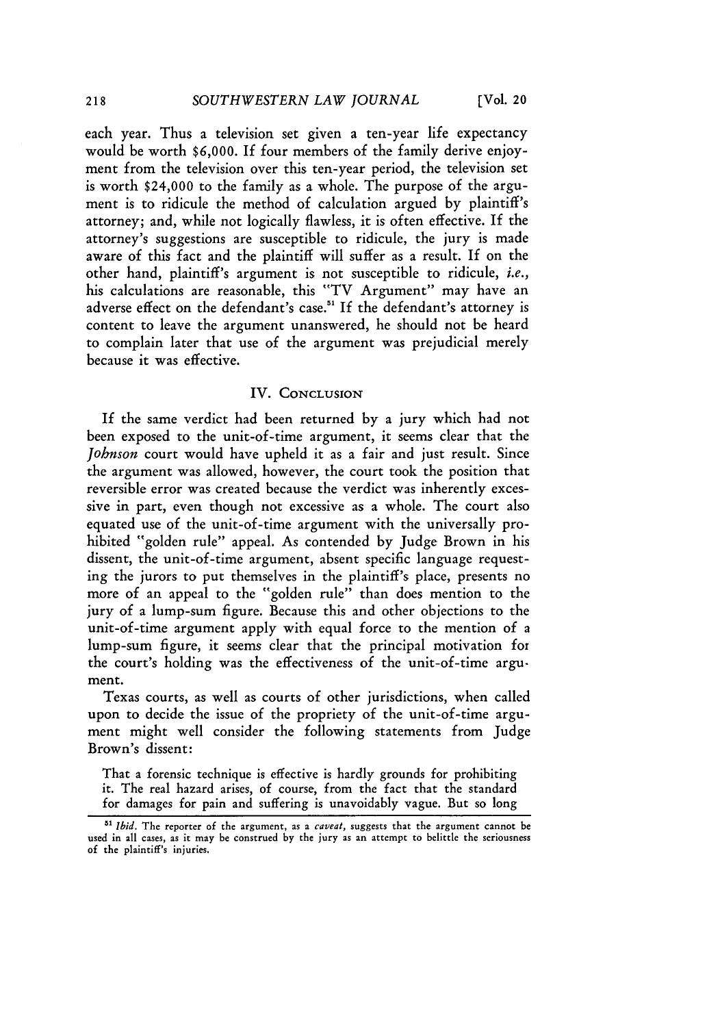each year. Thus a television set given a ten-year life expectancy would be worth **\$6,000.** If four members of the family derive enjoyment from the television over this ten-year period, the television set is worth \$24,000 to the family as a whole. The purpose of the argument is to ridicule the method of calculation argued by plaintiff's attorney; and, while not logically flawless, it is often effective. If the attorney's suggestions are susceptible to ridicule, the jury is made aware of this fact and the plaintiff will suffer as a result. If on the other hand, plaintiff's argument is not susceptible to ridicule, *i.e.,* his calculations are reasonable, this "TV Argument" may have an adverse effect on the defendant's case.<sup>51</sup> If the defendant's attorney is content to leave the argument unanswered, he should not be heard to complain later that use of the argument was prejudicial merely because it was effective.

#### IV. **CONCLUSION**

If the same verdict had been returned by a jury which had not been exposed to the unit-of-time argument, it seems clear that the *Johnson* court would have upheld it as a fair and just result. Since the argument was allowed, however, the court took the position that reversible error was created because the verdict was inherently excessive in part, even though not excessive as a whole. The court also equated use of the unit-of-time argument with the universally prohibited "golden rule" appeal. As contended by Judge Brown in his dissent, the unit-of-time argument, absent specific language requesting the jurors to put themselves in the plaintiff's place, presents no more of an appeal to the "golden rule" than does mention to the jury of a lump-sum figure. Because this and other objections to the unit-of-time argument apply with equal force to the mention of a lump-sum figure, it seems clear that the principal motivation for the court's holding was the effectiveness of the unit-of-time argument.

Texas courts, as well as courts of other jurisdictions, when called upon to decide the issue of the propriety of the unit-of-time argument might well consider the following statements from Judge Brown's dissent:

That a forensic technique is effective is hardly grounds for prohibiting it. The real hazard arises, of course, from the fact that the standard for damages for pain and suffering is unavoidably vague. But so long

<sup>&</sup>lt;sup>51</sup> *Ibid.* The reporter of the argument, as a *caveat*, suggests that the argument cannot be used in all cases, as it may be construed by the jury as an attempt to belittle the seriousness of the plaintiff's injuries.